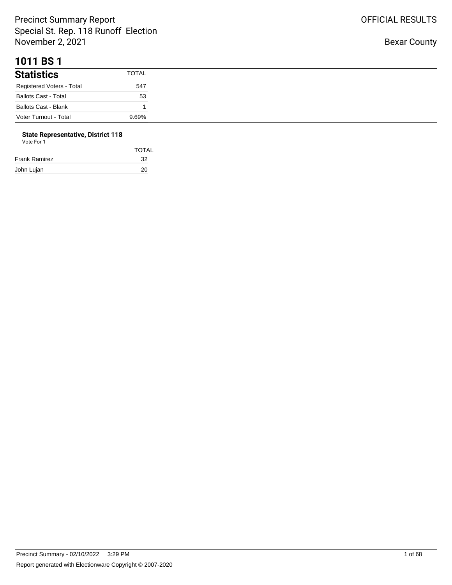#### **1011 BS 1**

| <b>Statistics</b>           | <b>TOTAL</b> |
|-----------------------------|--------------|
| Registered Voters - Total   | 547          |
| <b>Ballots Cast - Total</b> | 53           |
| <b>Ballots Cast - Blank</b> |              |
| Voter Turnout - Total       | 9.69%        |

# **State Representative, District 118**

| Vote For 1 |  |
|------------|--|
|------------|--|

|               | <b>TOTAL</b> |
|---------------|--------------|
| Frank Ramirez | -32          |
| John Lujan    | 20           |
|               |              |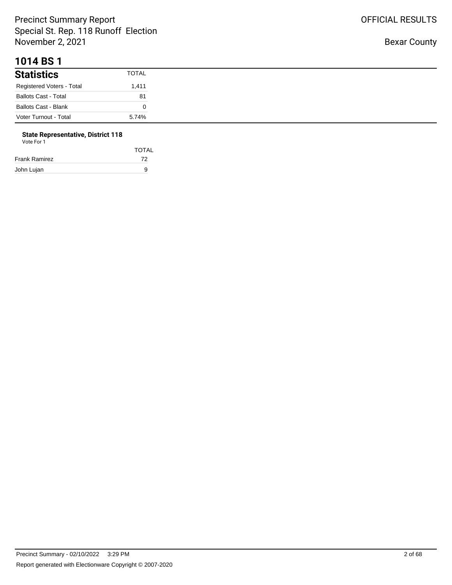#### **1014 BS 1**

| <b>Statistics</b>           | <b>TOTAL</b> |
|-----------------------------|--------------|
| Registered Voters - Total   | 1,411        |
| <b>Ballots Cast - Total</b> | 81           |
| <b>Ballots Cast - Blank</b> |              |
| Voter Turnout - Total       | 5.74%        |

#### **State Representative, District 118**

| TOTAL |
|-------|
| 72    |
| 9     |
|       |

OFFICIAL RESULTS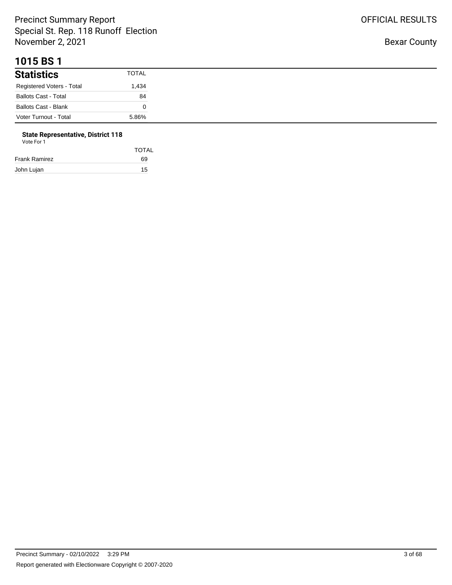#### **1015 BS 1**

| <b>Statistics</b>           | TOTAL |
|-----------------------------|-------|
| Registered Voters - Total   | 1,434 |
| <b>Ballots Cast - Total</b> | 84    |
| <b>Ballots Cast - Blank</b> |       |
| Voter Turnout - Total       | 5.86% |

# **State Representative, District 118**

| Vote For 1 |  |  |
|------------|--|--|
|------------|--|--|

|               | <b>TOTAL</b> |
|---------------|--------------|
| Frank Ramirez | 69           |
| John Lujan    | 15           |
|               |              |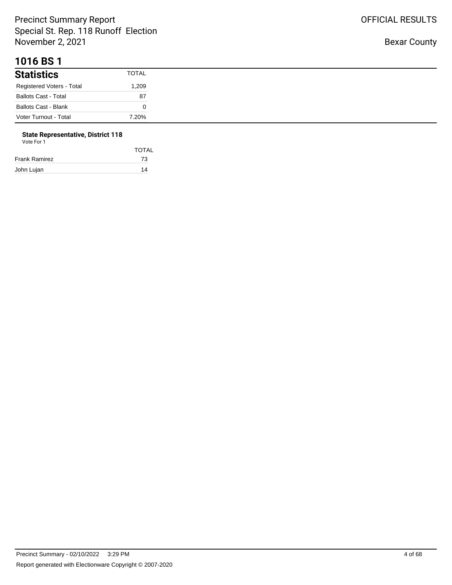#### **1016 BS 1**

| <b>Statistics</b>           | <b>TOTAL</b> |
|-----------------------------|--------------|
| Registered Voters - Total   | 1,209        |
| <b>Ballots Cast - Total</b> | 87           |
| <b>Ballots Cast - Blank</b> |              |
| Voter Turnout - Total       | 7.20%        |

#### **State Representative, District 118**

| Vote For 1 |  |  |
|------------|--|--|
|            |  |  |

|               | <b>TOTAL</b> |
|---------------|--------------|
| Frank Ramirez | 73           |
| John Lujan    | 14           |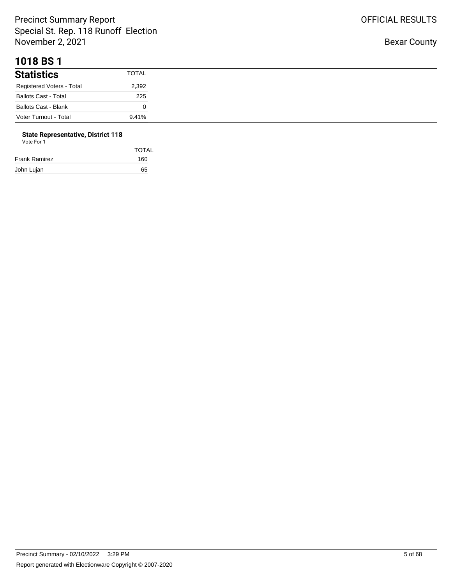#### **1018 BS 1**

| <b>Statistics</b>           | TOTAL |
|-----------------------------|-------|
| Registered Voters - Total   | 2,392 |
| <b>Ballots Cast - Total</b> | 225   |
| <b>Ballots Cast - Blank</b> |       |
| Voter Turnout - Total       | 9.41% |

# **State Representative, District 118**

| Vote For |  |
|----------|--|
|          |  |

| <b>TOTAL</b> |
|--------------|
| 160          |
| 65           |
|              |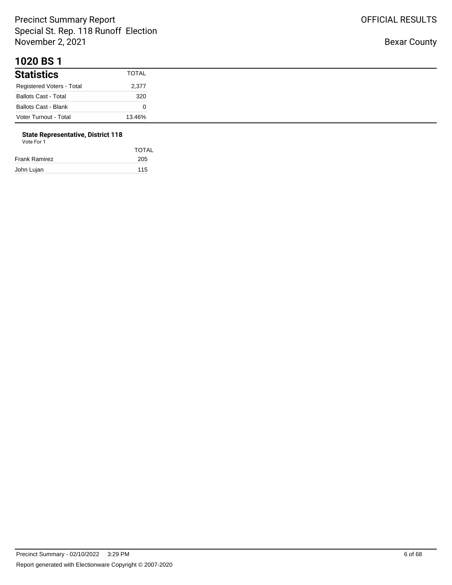#### **1020 BS 1**

| <b>Statistics</b>           | <b>TOTAL</b> |
|-----------------------------|--------------|
| Registered Voters - Total   | 2,377        |
| <b>Ballots Cast - Total</b> | 320          |
| <b>Ballots Cast - Blank</b> |              |
| Voter Turnout - Total       | 13.46%       |

# **State Representative, District 118**

| Vote For 1 |  |
|------------|--|
|            |  |

|               | <b>TOTAL</b> |
|---------------|--------------|
| Frank Ramirez | 205          |
| John Lujan    | 115          |
|               |              |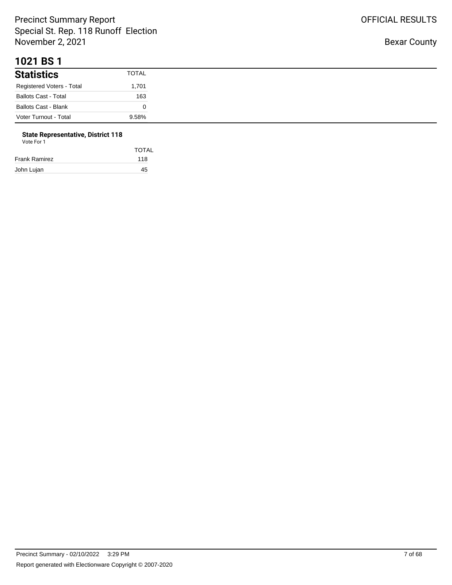#### **1021 BS 1**

| <b>Statistics</b>           | <b>TOTAL</b> |
|-----------------------------|--------------|
| Registered Voters - Total   | 1,701        |
| <b>Ballots Cast - Total</b> | 163          |
| <b>Ballots Cast - Blank</b> |              |
| Voter Turnout - Total       | 9.58%        |

## **State Representative, District 118**

|               | <b>TOTAL</b> |
|---------------|--------------|
| Frank Ramirez | 118          |
| John Lujan    | 45           |
|               |              |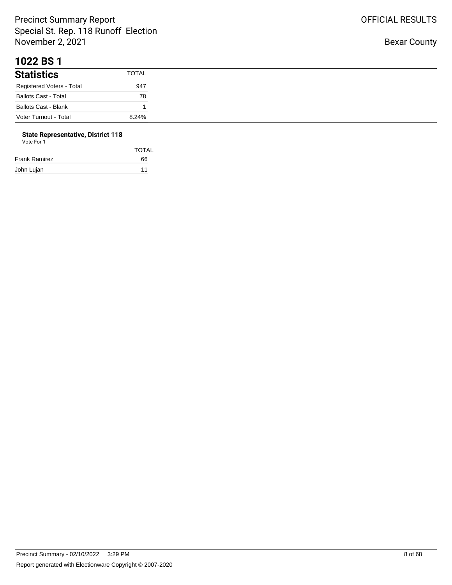#### **1022 BS 1**

| <b>Statistics</b>           | TOTAL |
|-----------------------------|-------|
| Registered Voters - Total   | 947   |
| <b>Ballots Cast - Total</b> | 78    |
| <b>Ballots Cast - Blank</b> |       |
| Voter Turnout - Total       | 8.24% |

# **State Representative, District 118**

| Vote For 1 |  |  |
|------------|--|--|
|------------|--|--|

|               | <b>TOTAL</b> |
|---------------|--------------|
| Frank Ramirez | 66           |
| John Lujan    | 11           |
|               |              |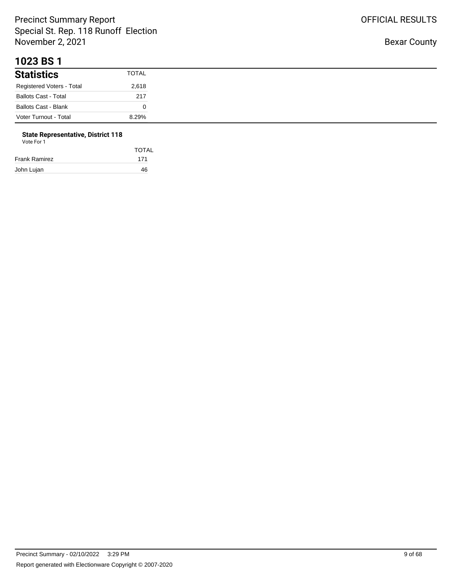#### **1023 BS 1**

| <b>Statistics</b>           | <b>TOTAL</b> |
|-----------------------------|--------------|
| Registered Voters - Total   | 2,618        |
| <b>Ballots Cast - Total</b> | 217          |
| <b>Ballots Cast - Blank</b> |              |
| Voter Turnout - Total       | 8.29%        |

# **State Representative, District 118**

| Vote For 1 |  |  |
|------------|--|--|
|------------|--|--|

|               | <b>TOTAL</b> |
|---------------|--------------|
| Frank Ramirez | 171          |
| John Lujan    | 46           |
|               |              |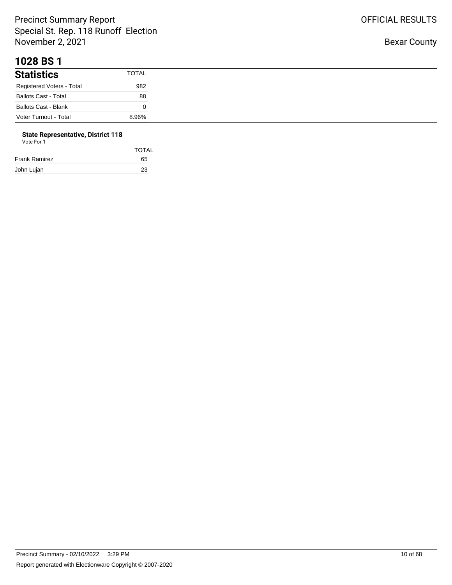#### **1028 BS 1**

| <b>Statistics</b>           | <b>TOTAL</b> |
|-----------------------------|--------------|
| Registered Voters - Total   | 982          |
| <b>Ballots Cast - Total</b> | 88           |
| <b>Ballots Cast - Blank</b> |              |
| Voter Turnout - Total       | 8.96%        |

# **State Representative, District 118**

| Vote For 1 |  |
|------------|--|
|            |  |

|               | <b>TOTAL</b> |
|---------------|--------------|
| Frank Ramirez | 65           |
| John Lujan    | 23           |
|               |              |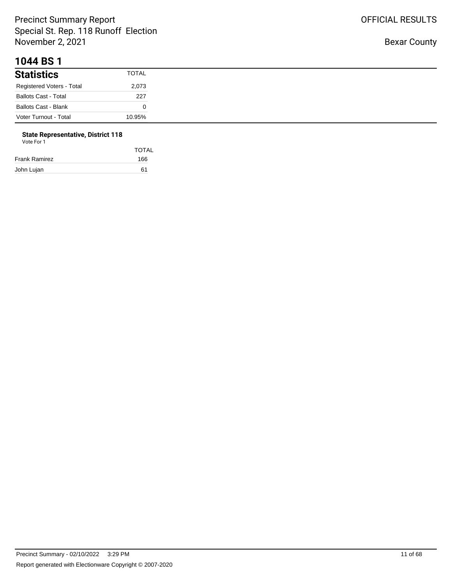#### **1044 BS 1**

| <b>Statistics</b>           | <b>TOTAL</b> |
|-----------------------------|--------------|
| Registered Voters - Total   | 2,073        |
| <b>Ballots Cast - Total</b> | 227          |
| <b>Ballots Cast - Blank</b> |              |
| Voter Turnout - Total       | 10.95%       |

## **State Representative, District 118**

|               | <b>TOTAL</b> |
|---------------|--------------|
| Frank Ramirez | 166          |
| John Lujan    | 61           |
|               |              |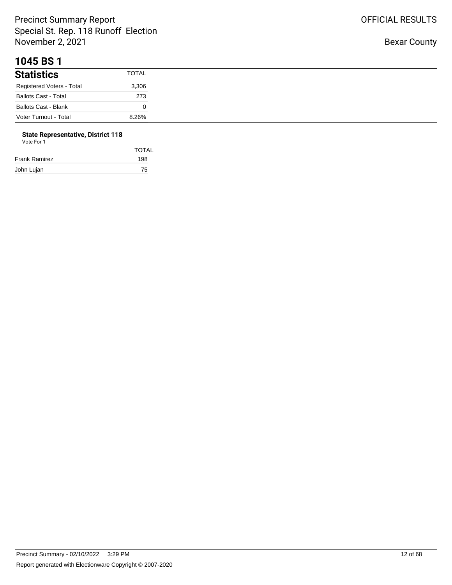#### **1045 BS 1**

| <b>Statistics</b>           | TOTAL |
|-----------------------------|-------|
| Registered Voters - Total   | 3,306 |
| <b>Ballots Cast - Total</b> | 273   |
| <b>Ballots Cast - Blank</b> |       |
| Voter Turnout - Total       | 8.26% |

## **State Representative, District 118**

| <b>TOTAL</b> |
|--------------|
| 198          |
| 75           |
|              |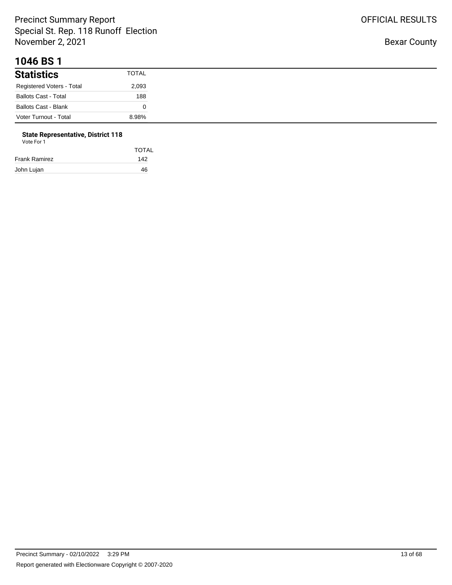#### **1046 BS 1**

| <b>Statistics</b>           | <b>TOTAL</b> |
|-----------------------------|--------------|
| Registered Voters - Total   | 2,093        |
| <b>Ballots Cast - Total</b> | 188          |
| <b>Ballots Cast - Blank</b> |              |
| Voter Turnout - Total       | 8.98%        |

#### **State Representative, District 118**

| Vote For 1    |       |  |  |
|---------------|-------|--|--|
|               | TOTAL |  |  |
| Frank Ramirez | 142   |  |  |
| John Lujan    | 46    |  |  |
|               |       |  |  |

OFFICIAL RESULTS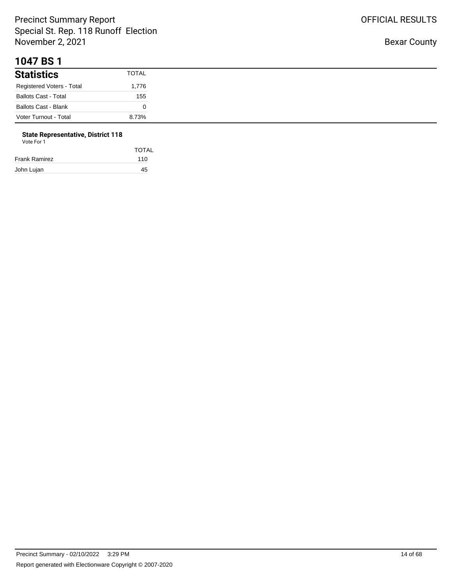#### **1047 BS 1**

| <b>Statistics</b>           | <b>TOTAL</b> |
|-----------------------------|--------------|
| Registered Voters - Total   | 1,776        |
| <b>Ballots Cast - Total</b> | 155          |
| <b>Ballots Cast - Blank</b> |              |
| Voter Turnout - Total       | 8.73%        |

# **State Representative, District 118**

| Vote For 1 |  |
|------------|--|
|------------|--|

| <b>TOTAL</b> |
|--------------|
| 110          |
| 45           |
|              |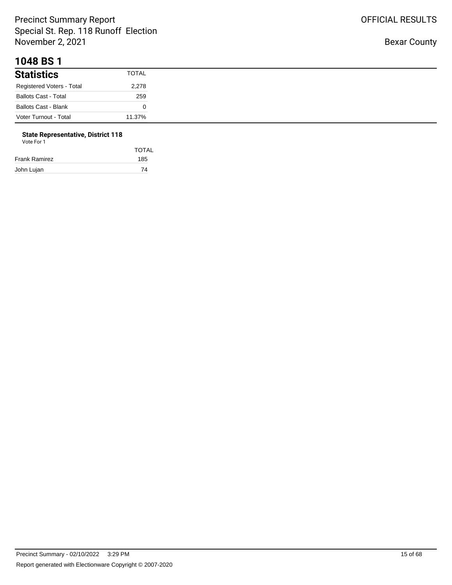#### **1048 BS 1**

| <b>Statistics</b>           | TOTAL  |
|-----------------------------|--------|
| Registered Voters - Total   | 2,278  |
| <b>Ballots Cast - Total</b> | 259    |
| Ballots Cast - Blank        |        |
| Voter Turnout - Total       | 11.37% |

# **State Representative, District 118**

|               | <b>TOTAL</b> |
|---------------|--------------|
| Frank Ramirez | 185          |
| John Lujan    | 74           |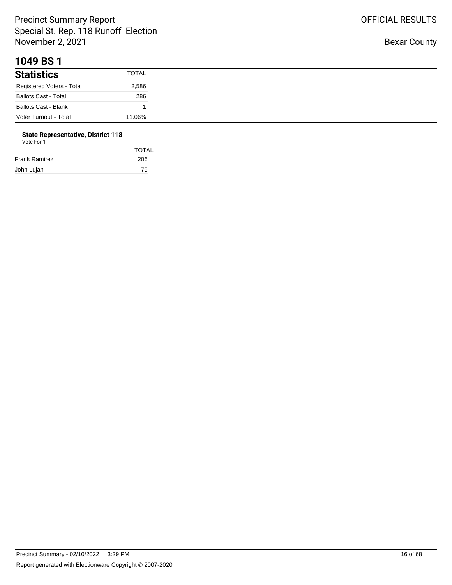#### **1049 BS 1**

| <b>Statistics</b>           | <b>TOTAL</b> |
|-----------------------------|--------------|
| Registered Voters - Total   | 2,586        |
| <b>Ballots Cast - Total</b> | 286          |
| Ballots Cast - Blank        |              |
| Voter Turnout - Total       | 11.06%       |

# **State Representative, District 118**

| Vote For 1 |  |  |
|------------|--|--|
|------------|--|--|

|               | <b>TOTAL</b> |
|---------------|--------------|
| Frank Ramirez | 206          |
| John Lujan    | 79           |
|               |              |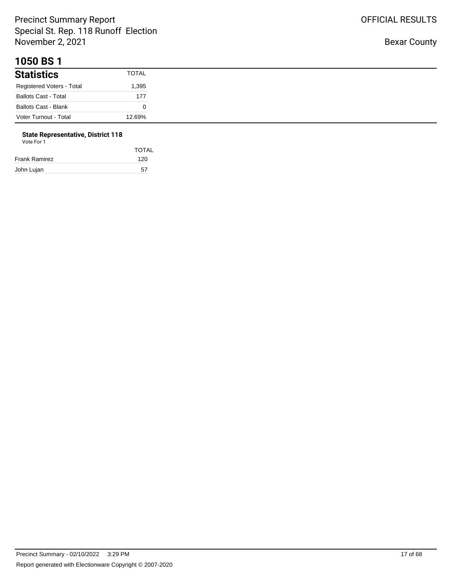#### **1050 BS 1**

| <b>Statistics</b>           | TOTAL  |
|-----------------------------|--------|
| Registered Voters - Total   | 1,395  |
| <b>Ballots Cast - Total</b> | 177    |
| <b>Ballots Cast - Blank</b> |        |
| Voter Turnout - Total       | 12.69% |

## **State Representative, District 118**

|  | Vote For 1 |  |
|--|------------|--|
|  |            |  |

|               | <b>TOTAL</b> |
|---------------|--------------|
| Frank Ramirez | 120          |
| John Lujan    | 57           |
|               |              |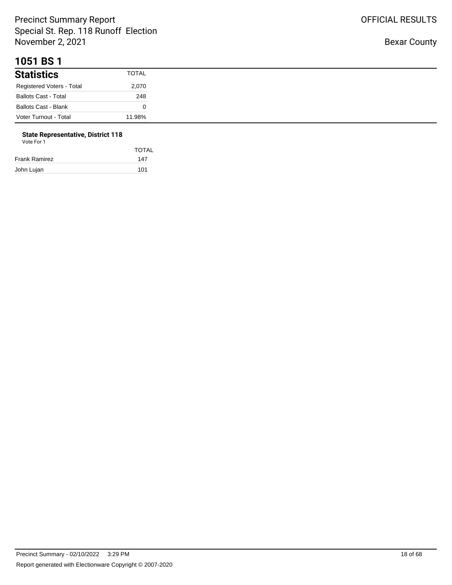#### **1051 BS 1**

| <b>Statistics</b>           | <b>TOTAL</b> |
|-----------------------------|--------------|
| Registered Voters - Total   | 2,070        |
| <b>Ballots Cast - Total</b> | 248          |
| <b>Ballots Cast - Blank</b> |              |
| Voter Turnout - Total       | 11.98%       |

## **State Representative, District 118**

|  | Vote For 1 |  |
|--|------------|--|
|  |            |  |

| <b>TOTAL</b> |
|--------------|
| 147          |
| 101          |
|              |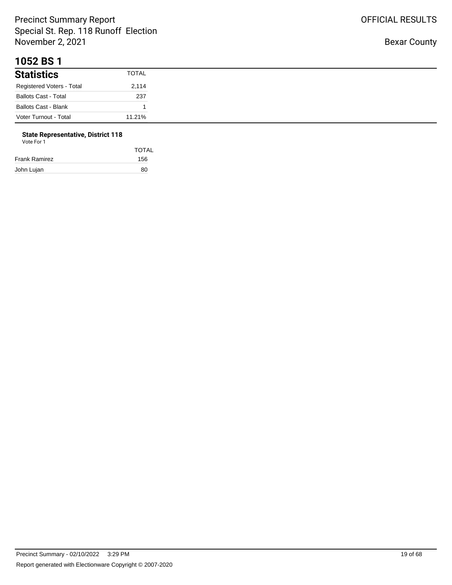#### **1052 BS 1**

| <b>Statistics</b>           | <b>TOTAL</b> |
|-----------------------------|--------------|
| Registered Voters - Total   | 2,114        |
| <b>Ballots Cast - Total</b> | 237          |
| <b>Ballots Cast - Blank</b> |              |
| Voter Turnout - Total       | 11.21%       |

# **State Representative, District 118**

| Vote For 1 |  |
|------------|--|
|------------|--|

|               | <b>TOTAL</b> |
|---------------|--------------|
| Frank Ramirez | 156          |
| John Lujan    | 80           |
|               |              |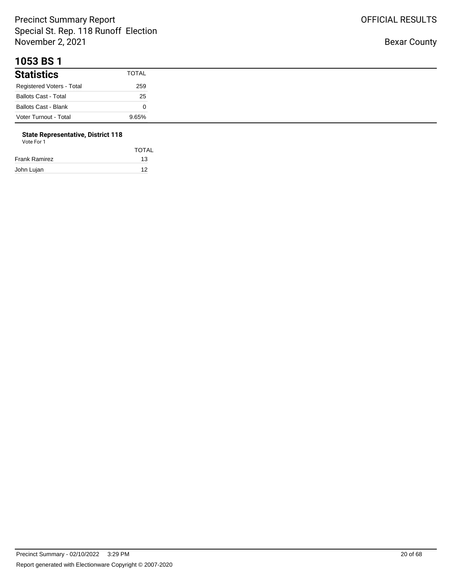#### **1053 BS 1**

| <b>Statistics</b>           | <b>TOTAL</b> |
|-----------------------------|--------------|
| Registered Voters - Total   | 259          |
| <b>Ballots Cast - Total</b> | 25           |
| <b>Ballots Cast - Blank</b> |              |
| Voter Turnout - Total       | 9.65%        |

# **State Representative, District 118**

| Vote For 1 |  |
|------------|--|
|------------|--|

|               | <b>TOTAL</b> |
|---------------|--------------|
| Frank Ramirez | 13           |
| John Lujan    | 12           |
|               |              |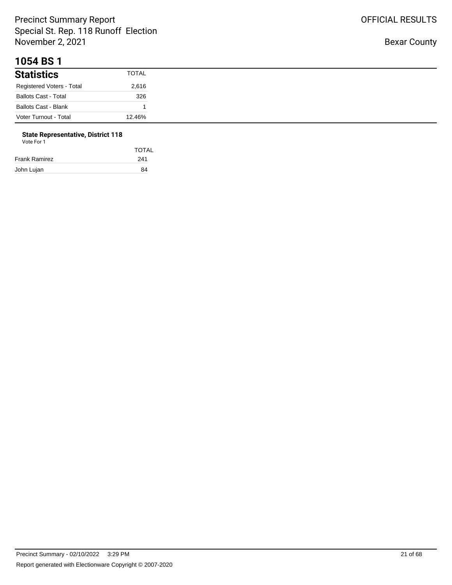#### **1054 BS 1**

| <b>Statistics</b>           | <b>TOTAL</b> |
|-----------------------------|--------------|
| Registered Voters - Total   | 2,616        |
| <b>Ballots Cast - Total</b> | 326          |
| <b>Ballots Cast - Blank</b> |              |
| Voter Turnout - Total       | 12.46%       |

#### **State Representative, District 118** Vote For 1

| VULTUII       |              |
|---------------|--------------|
|               | <b>TOTAL</b> |
| Frank Ramirez | 241          |
|               |              |

John Lujan 84

OFFICIAL RESULTS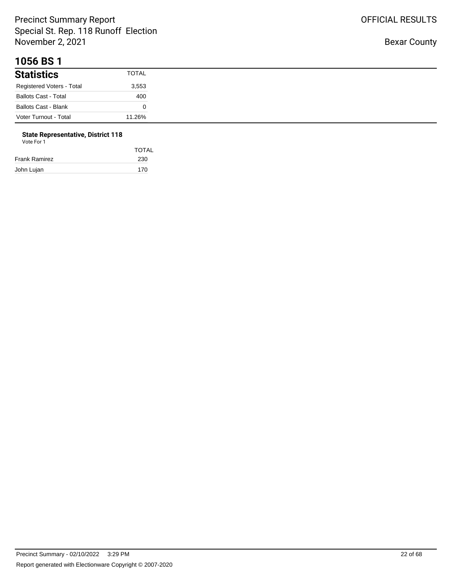#### **1056 BS 1**

| <b>Statistics</b>           | TOTAL  |
|-----------------------------|--------|
| Registered Voters - Total   | 3,553  |
| <b>Ballots Cast - Total</b> | 400    |
| <b>Ballots Cast - Blank</b> |        |
| Voter Turnout - Total       | 11.26% |

# **State Representative, District 118**

| Vote For 1 |  |  |
|------------|--|--|
|------------|--|--|

|               | <b>TOTAL</b> |
|---------------|--------------|
| Frank Ramirez | 230          |
| John Lujan    | 170          |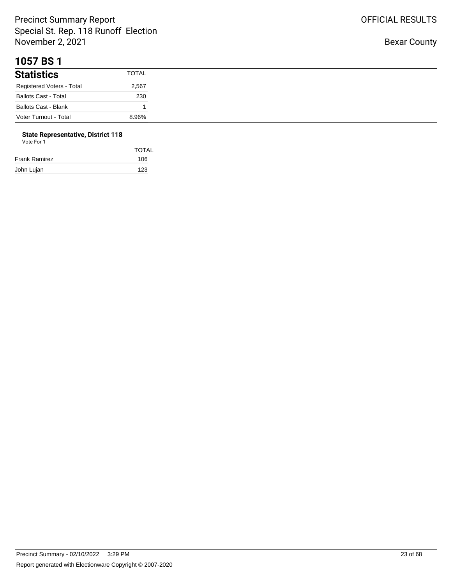#### **1057 BS 1**

| <b>Statistics</b>           | <b>TOTAL</b> |
|-----------------------------|--------------|
| Registered Voters - Total   | 2,567        |
| <b>Ballots Cast - Total</b> | 230          |
| <b>Ballots Cast - Blank</b> |              |
| Voter Turnout - Total       | 8.96%        |

# **State Representative, District 118**

| <b>TOTAL</b> |
|--------------|
| 106          |
| 123          |
|              |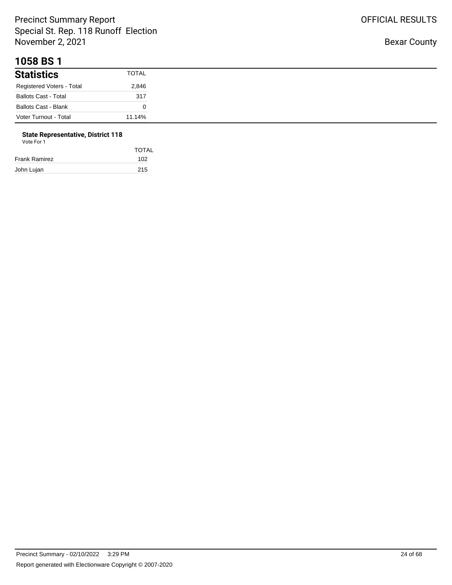#### **1058 BS 1**

| <b>Statistics</b>           | TOTAL  |
|-----------------------------|--------|
| Registered Voters - Total   | 2,846  |
| <b>Ballots Cast - Total</b> | 317    |
| Ballots Cast - Blank        |        |
| Voter Turnout - Total       | 11.14% |

# **State Representative, District 118**

| Vote For 1 |  |  |
|------------|--|--|
|------------|--|--|

| <b>TOTAL</b> |
|--------------|
| 102          |
| 215          |
|              |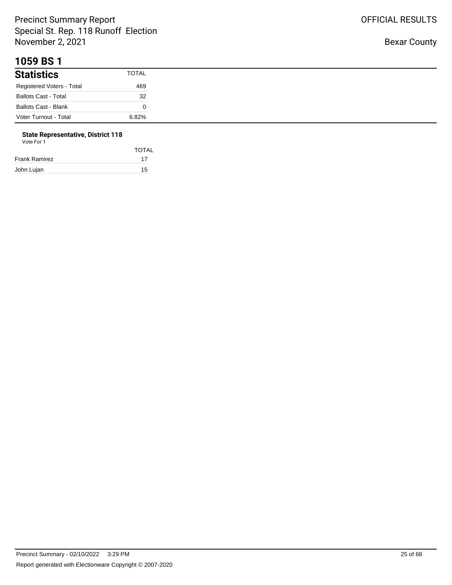#### **1059 BS 1**

| <b>Statistics</b>           | TOTAL |
|-----------------------------|-------|
| Registered Voters - Total   | 469   |
| <b>Ballots Cast - Total</b> | 32    |
| <b>Ballots Cast - Blank</b> |       |
| Voter Turnout - Total       | 6.82% |

# **State Representative, District 118**

| Vote For 1 |  |
|------------|--|
|------------|--|

|               | <b>TOTAL</b> |
|---------------|--------------|
| Frank Ramirez | 17           |
| John Lujan    | 15           |
|               |              |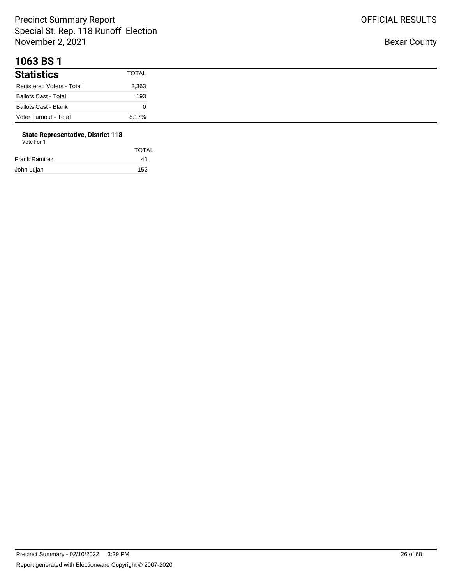#### **1063 BS 1**

| <b>Statistics</b>           | <b>TOTAL</b> |
|-----------------------------|--------------|
| Registered Voters - Total   | 2,363        |
| <b>Ballots Cast - Total</b> | 193          |
| <b>Ballots Cast - Blank</b> |              |
| Voter Turnout - Total       | 8.17%        |

#### **State Representative, District 118** Vote For 1

| <u>vuurivii</u>      |       |  |
|----------------------|-------|--|
|                      | TOTAL |  |
| <b>Frank Ramirez</b> | 41    |  |
| John Lujan           | 152   |  |

OFFICIAL RESULTS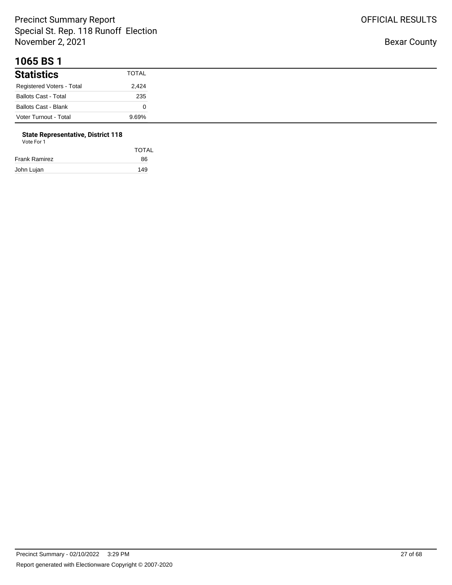#### **1065 BS 1**

| <b>Statistics</b>           | TOTAL |
|-----------------------------|-------|
| Registered Voters - Total   | 2,424 |
| <b>Ballots Cast - Total</b> | 235   |
| <b>Ballots Cast - Blank</b> |       |
| Voter Turnout - Total       | 9.69% |

# **State Representative, District 118**

| Vote For 1 |  |
|------------|--|
|            |  |

|               | <b>TOTAL</b> |
|---------------|--------------|
| Frank Ramirez | 86           |
| John Lujan    | 149          |
|               |              |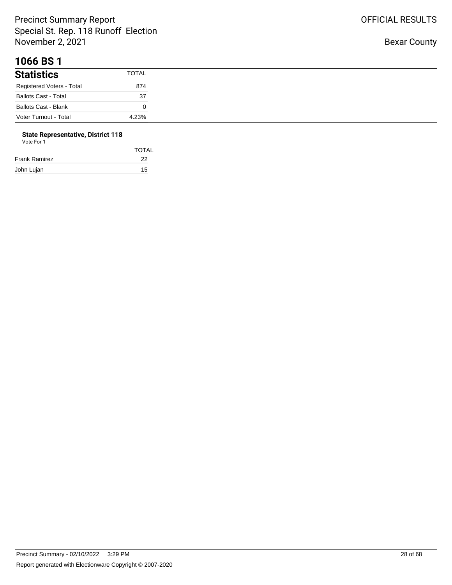#### **1066 BS 1**

| <b>Statistics</b>           | <b>TOTAL</b> |
|-----------------------------|--------------|
| Registered Voters - Total   | 874          |
| <b>Ballots Cast - Total</b> | 37           |
| <b>Ballots Cast - Blank</b> |              |
| Voter Turnout - Total       | 4.23%        |

# **State Representative, District 118**

| Vote For 1 |  |
|------------|--|
|            |  |

|               | <b>TOTAL</b> |
|---------------|--------------|
| Frank Ramirez | 22           |
| John Lujan    | 15           |
|               |              |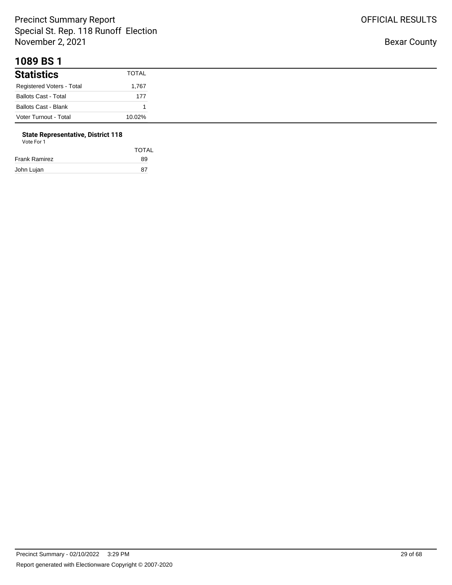#### **1089 BS 1**

| <b>Statistics</b>           | <b>TOTAL</b> |
|-----------------------------|--------------|
| Registered Voters - Total   | 1,767        |
| <b>Ballots Cast - Total</b> | 177          |
| <b>Ballots Cast - Blank</b> |              |
| Voter Turnout - Total       | 10.02%       |

#### **State Representative, District 118** Vote For 1

| <u>vuurivii</u>      |              |  |
|----------------------|--------------|--|
|                      | <b>TOTAL</b> |  |
| <b>Frank Ramirez</b> | 89           |  |
| John Lujan           | 87           |  |

OFFICIAL RESULTS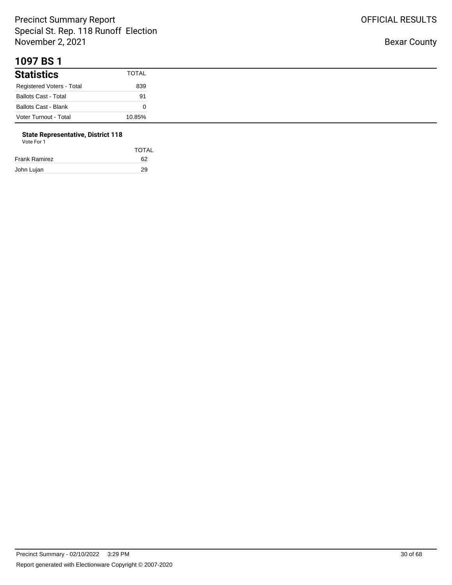#### **1097 BS 1**

| <b>Statistics</b>           | <b>TOTAL</b> |
|-----------------------------|--------------|
| Registered Voters - Total   | 839          |
| <b>Ballots Cast - Total</b> | 91           |
| <b>Ballots Cast - Blank</b> |              |
| Voter Turnout - Total       | 10.85%       |

# **State Representative, District 118**

| Vote For 1 |  |
|------------|--|
|            |  |

|               | <b>TOTAL</b> |
|---------------|--------------|
| Frank Ramirez | 62           |
| John Lujan    | 29           |
|               |              |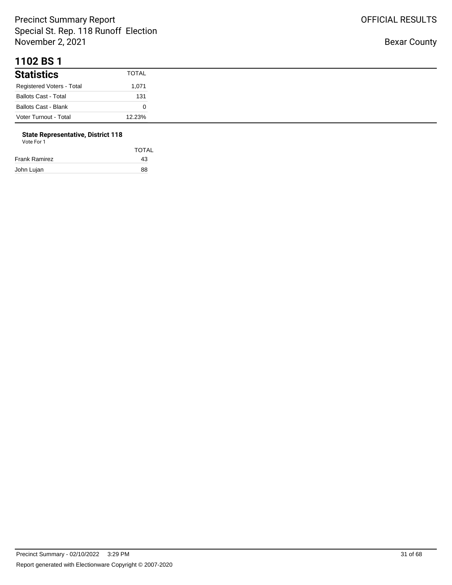#### **1102 BS 1**

| <b>Statistics</b>           | <b>TOTAL</b> |
|-----------------------------|--------------|
| Registered Voters - Total   | 1,071        |
| <b>Ballots Cast - Total</b> | 131          |
| <b>Ballots Cast - Blank</b> |              |
| Voter Turnout - Total       | 12.23%       |

## **State Representative, District 118**

| Vote For 1 |  |  |
|------------|--|--|
|            |  |  |

| <b>TOTAL</b> |
|--------------|
| 43           |
| 88           |
|              |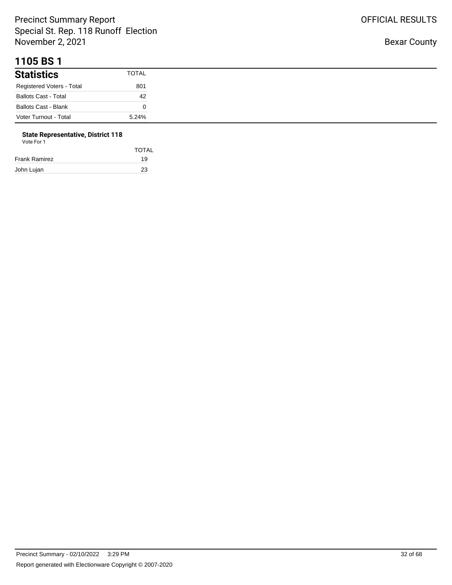#### **1105 BS 1**

| <b>Statistics</b>           | <b>TOTAL</b> |
|-----------------------------|--------------|
| Registered Voters - Total   | 801          |
| <b>Ballots Cast - Total</b> | 42           |
| <b>Ballots Cast - Blank</b> |              |
| Voter Turnout - Total       | 5.24%        |

# **State Representative, District 118**

| Vote For 1 |  |  |  |
|------------|--|--|--|
|------------|--|--|--|

|               | <b>TOTAL</b> |
|---------------|--------------|
| Frank Ramirez | 19           |
| John Lujan    | 23           |
|               |              |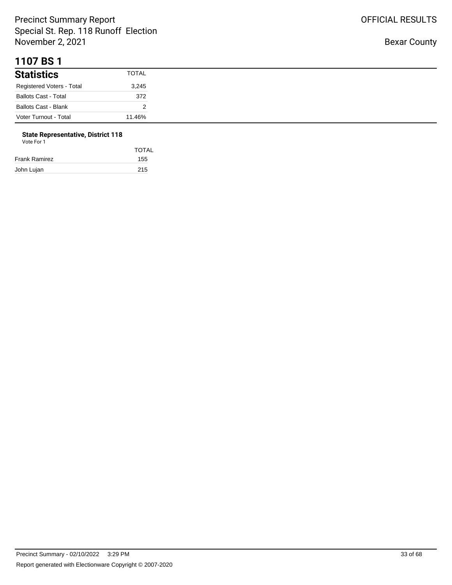#### **1107 BS 1**

| <b>Statistics</b>           | <b>TOTAL</b> |
|-----------------------------|--------------|
| Registered Voters - Total   | 3,245        |
| <b>Ballots Cast - Total</b> | 372          |
| <b>Ballots Cast - Blank</b> |              |
| Voter Turnout - Total       | 11.46%       |

# **State Representative, District 118**

|               | <b>TOTAL</b> |
|---------------|--------------|
| Frank Ramirez | 155          |
| John Lujan    | 215          |
|               |              |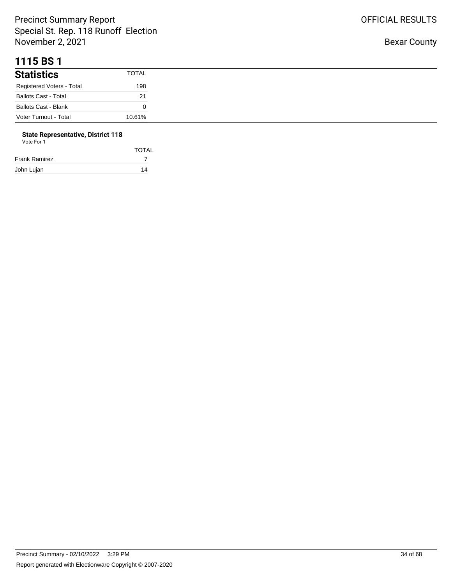#### **1115 BS 1**

| <b>Statistics</b>           | <b>TOTAL</b> |
|-----------------------------|--------------|
| Registered Voters - Total   | 198          |
| <b>Ballots Cast - Total</b> | 21           |
| <b>Ballots Cast - Blank</b> |              |
| Voter Turnout - Total       | 10.61%       |

#### **State Representative, District 118**

| Vote For 1    |              |
|---------------|--------------|
|               | <b>TOTAL</b> |
| Frank Ramirez |              |
| John Lujan    | 14           |

Bexar County

OFFICIAL RESULTS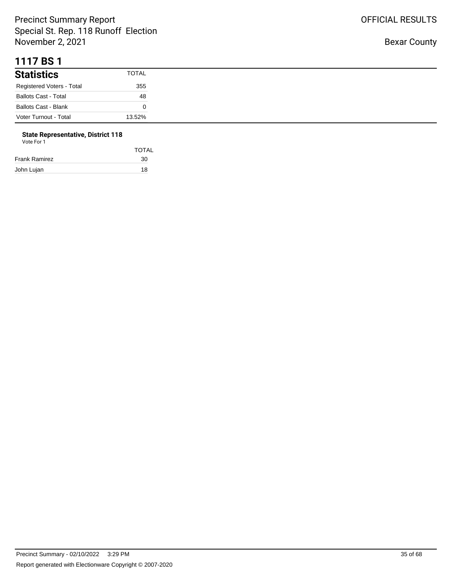#### **1117 BS 1**

| <b>Statistics</b>           | <b>TOTAL</b> |
|-----------------------------|--------------|
| Registered Voters - Total   | 355          |
| <b>Ballots Cast - Total</b> | 48           |
| <b>Ballots Cast - Blank</b> |              |
| Voter Turnout - Total       | 13.52%       |

# **State Representative, District 118**

| Vote For 1 |  |
|------------|--|
|            |  |

|               | <b>TOTAL</b> |
|---------------|--------------|
| Frank Ramirez | 30           |
| John Lujan    | 18           |
|               |              |

OFFICIAL RESULTS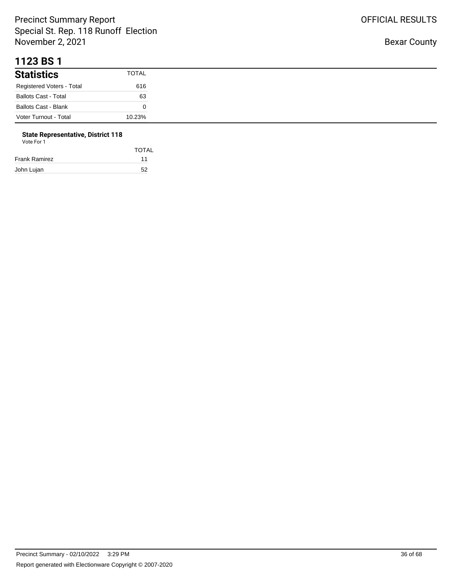#### **1123 BS 1**

| <b>Statistics</b>           | <b>TOTAL</b> |
|-----------------------------|--------------|
| Registered Voters - Total   | 616          |
| <b>Ballots Cast - Total</b> | 63           |
| <b>Ballots Cast - Blank</b> |              |
| Voter Turnout - Total       | 10.23%       |

# **State Representative, District 118**

| Vote For 1 |  |  |
|------------|--|--|
|            |  |  |

|               | <b>TOTAL</b> |
|---------------|--------------|
| Frank Ramirez | 11           |
| John Lujan    | 52           |
|               |              |

OFFICIAL RESULTS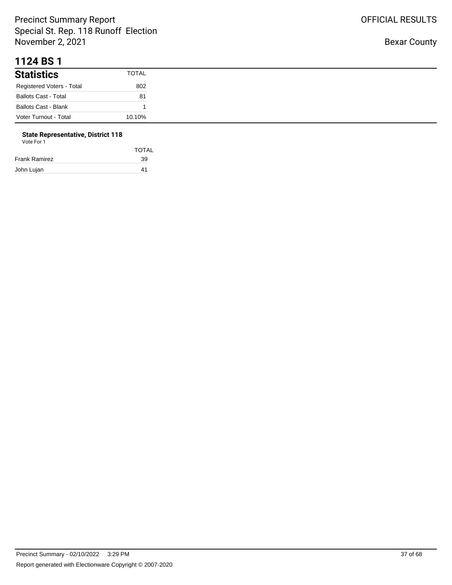#### **1124 BS 1**

| <b>Statistics</b>           | TOTAL  |
|-----------------------------|--------|
| Registered Voters - Total   | 802    |
| <b>Ballots Cast - Total</b> | 81     |
| Ballots Cast - Blank        |        |
| Voter Turnout - Total       | 10.10% |

# **State Representative, District 118**

| Vote For 1 |  |
|------------|--|
|            |  |

|               | <b>TOTAL</b> |
|---------------|--------------|
| Frank Ramirez | 39           |
| John Lujan    | 41           |
|               |              |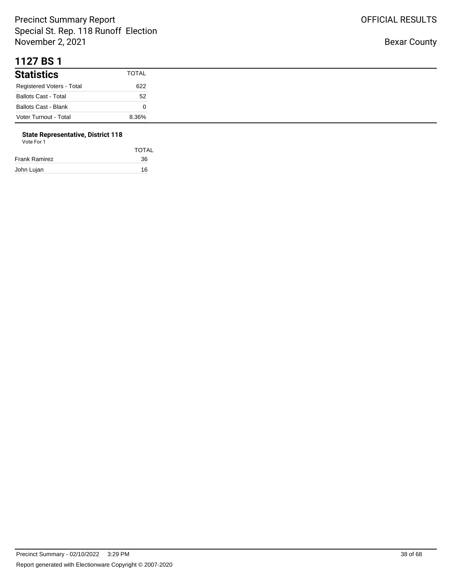#### **1127 BS 1**

| <b>Statistics</b>           | TOTAL |
|-----------------------------|-------|
| Registered Voters - Total   | 622   |
| <b>Ballots Cast - Total</b> | 52    |
| <b>Ballots Cast - Blank</b> |       |
| Voter Turnout - Total       | 8.36% |

# **State Representative, District 118**

| Vote For 1 |  |
|------------|--|
|            |  |

|               | <b>TOTAL</b> |
|---------------|--------------|
| Frank Ramirez | 36           |
| John Lujan    | 16           |
|               |              |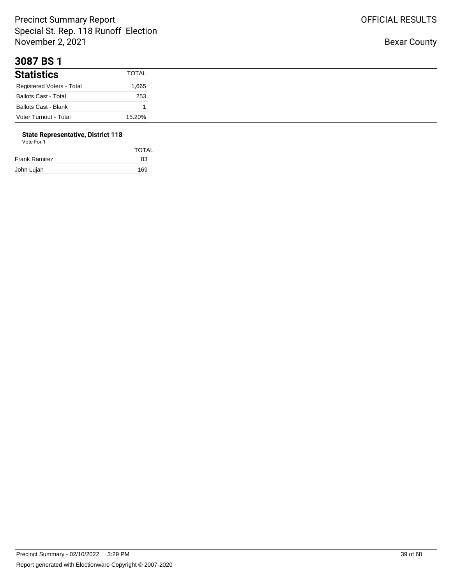#### **3087 BS 1**

| <b>Statistics</b>           | TOTAL  |
|-----------------------------|--------|
| Registered Voters - Total   | 1,665  |
| <b>Ballots Cast - Total</b> | 253    |
| <b>Ballots Cast - Blank</b> |        |
| Voter Turnout - Total       | 15.20% |

#### **State Representative, District 118** Vote For 1

| <b>VULLE FULL</b> |  |  |
|-------------------|--|--|
|                   |  |  |
|                   |  |  |
| rank Ramirez      |  |  |

| Frank Ramirez | 83  |
|---------------|-----|
| John Lujan    | 169 |

TOTAL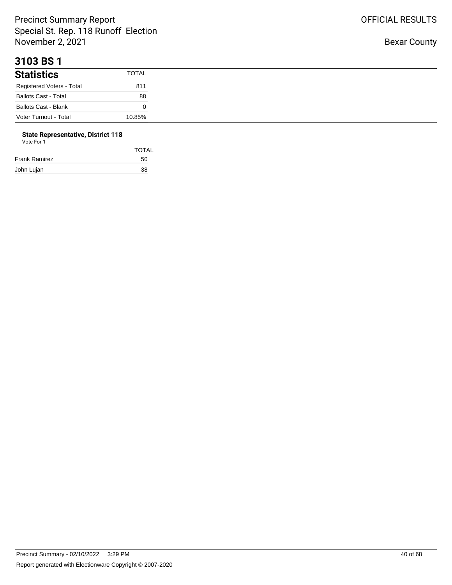#### **3103 BS 1**

| <b>Statistics</b>           | <b>TOTAL</b> |
|-----------------------------|--------------|
| Registered Voters - Total   | 811          |
| <b>Ballots Cast - Total</b> | 88           |
| <b>Ballots Cast - Blank</b> |              |
| Voter Turnout - Total       | 10.85%       |

# **State Representative, District 118**

| Vote For 1 |  |
|------------|--|
|            |  |

|               | <b>TOTAL</b> |
|---------------|--------------|
| Frank Ramirez | 50           |
| John Lujan    | 38           |
|               |              |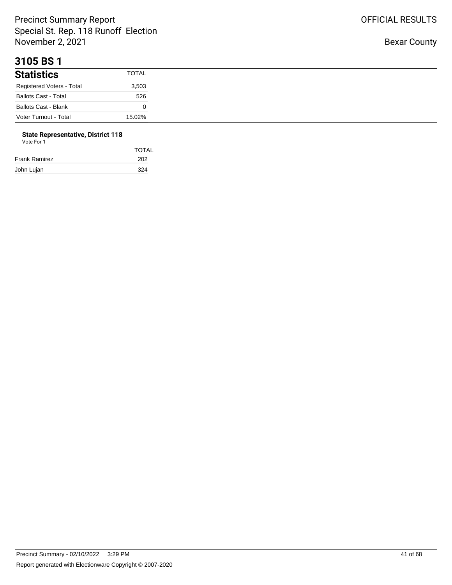#### **3105 BS 1**

| <b>Statistics</b>           | <b>TOTAL</b> |
|-----------------------------|--------------|
| Registered Voters - Total   | 3,503        |
| <b>Ballots Cast - Total</b> | 526          |
| <b>Ballots Cast - Blank</b> |              |
| Voter Turnout - Total       | 15.02%       |

# **State Representative, District 118**

| Vote For 1 |  |
|------------|--|
|------------|--|

|               | <b>TOTAL</b> |
|---------------|--------------|
| Frank Ramirez | 202          |
| John Lujan    | 324          |
|               |              |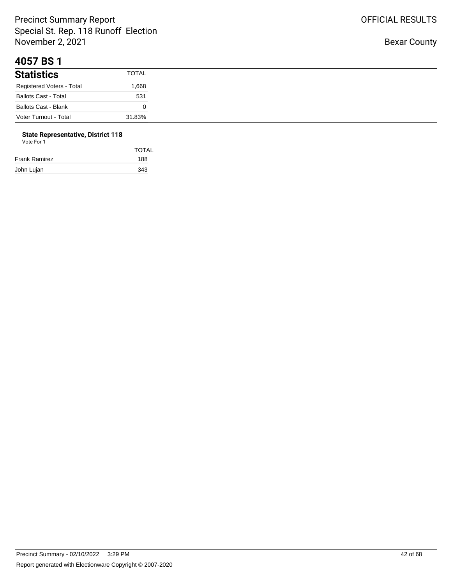#### **4057 BS 1**

| <b>Statistics</b>           | <b>TOTAL</b> |
|-----------------------------|--------------|
| Registered Voters - Total   | 668. ا       |
| <b>Ballots Cast - Total</b> | 531          |
| <b>Ballots Cast - Blank</b> |              |
| Voter Turnout - Total       | 31.83%       |

# **State Representative, District 118**

| <b>TOTAL</b> |
|--------------|
| 188          |
| 343          |
|              |

OFFICIAL RESULTS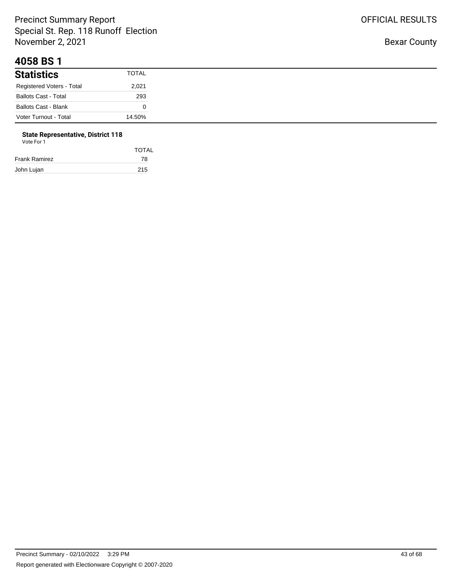#### **4058 BS 1**

| <b>Statistics</b>           | <b>TOTAL</b> |
|-----------------------------|--------------|
| Registered Voters - Total   | 2,021        |
| <b>Ballots Cast - Total</b> | 293          |
| <b>Ballots Cast - Blank</b> |              |
| Voter Turnout - Total       | 14.50%       |

#### **State Representative, District 118**

| Vote For 1 |  |  |
|------------|--|--|
|            |  |  |

| <b>TOTAL</b> |
|--------------|
| 78           |
| 215          |
|              |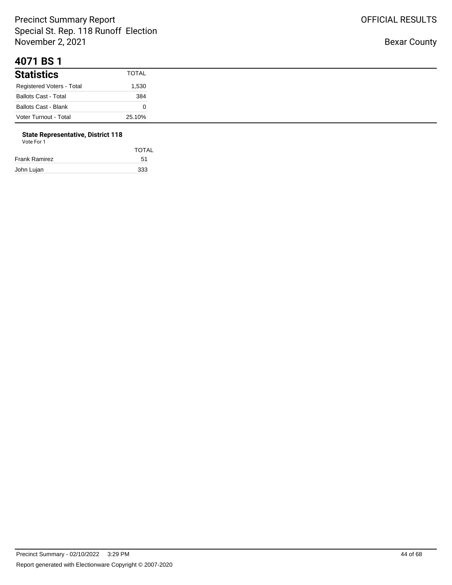#### **4071 BS 1**

| <b>Statistics</b>           | <b>TOTAL</b> |
|-----------------------------|--------------|
| Registered Voters - Total   | 530, ا       |
| <b>Ballots Cast - Total</b> | 384          |
| <b>Ballots Cast - Blank</b> |              |
| Voter Turnout - Total       | 25.10%       |

# **State Representative, District 118**

|               | <b>TOTAL</b> |
|---------------|--------------|
| Frank Ramirez | 51           |
| John Lujan    | 333          |
|               |              |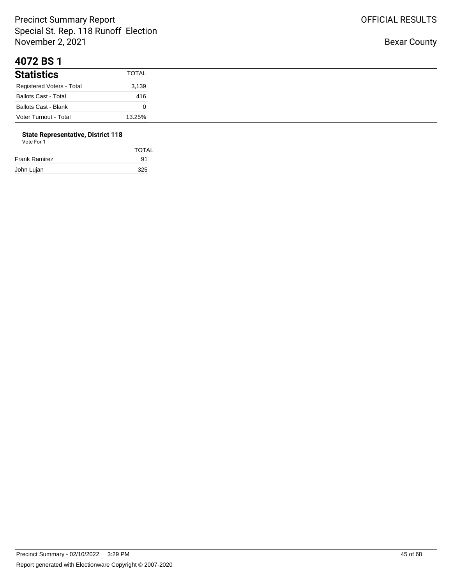#### **4072 BS 1**

| <b>Statistics</b>           | <b>TOTAL</b> |
|-----------------------------|--------------|
| Registered Voters - Total   | 3,139        |
| <b>Ballots Cast - Total</b> | 416          |
| <b>Ballots Cast - Blank</b> |              |
| Voter Turnout - Total       | 13.25%       |

# **State Representative, District 118**

| Vote For 1 |  |  |
|------------|--|--|
|------------|--|--|

| <b>TOTAL</b> |
|--------------|
| 91           |
| 325          |
|              |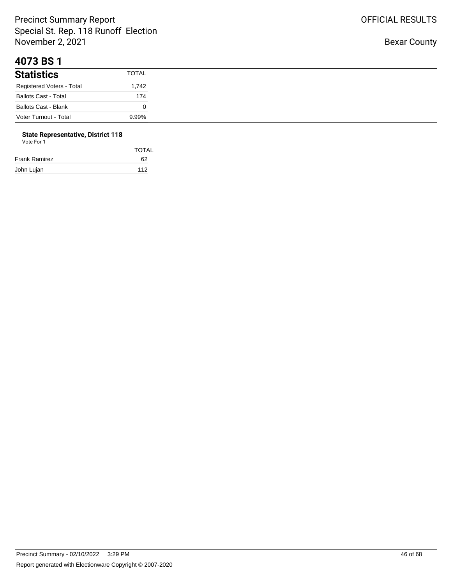#### **4073 BS 1**

| <b>Statistics</b>           | TOTAL |
|-----------------------------|-------|
| Registered Voters - Total   | 1,742 |
| <b>Ballots Cast - Total</b> | 174   |
| <b>Ballots Cast - Blank</b> |       |
| Voter Turnout - Total       | 9.99% |

## **State Representative, District 118**

| Vote For 1 |  |
|------------|--|
|------------|--|

|               | <b>TOTAL</b> |
|---------------|--------------|
| Frank Ramirez | 62           |
| John Lujan    | 112          |
|               |              |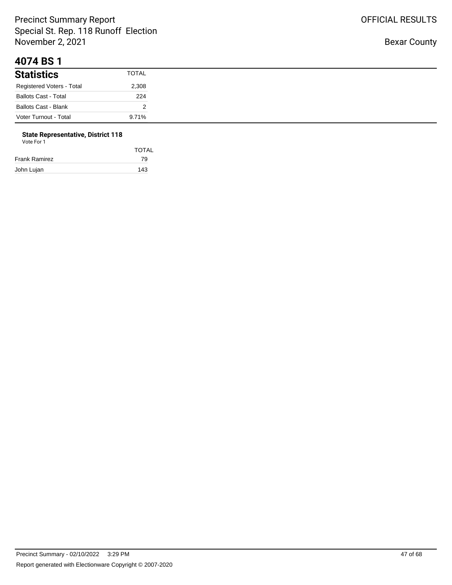#### **4074 BS 1**

| <b>Statistics</b>           | TOTAL |
|-----------------------------|-------|
| Registered Voters - Total   | 2,308 |
| <b>Ballots Cast - Total</b> | 224   |
| <b>Ballots Cast - Blank</b> |       |
| Voter Turnout - Total       | 9.71% |

# **State Representative, District 118**

| <b>TOTAL</b> |
|--------------|
| 79           |
| 143          |
|              |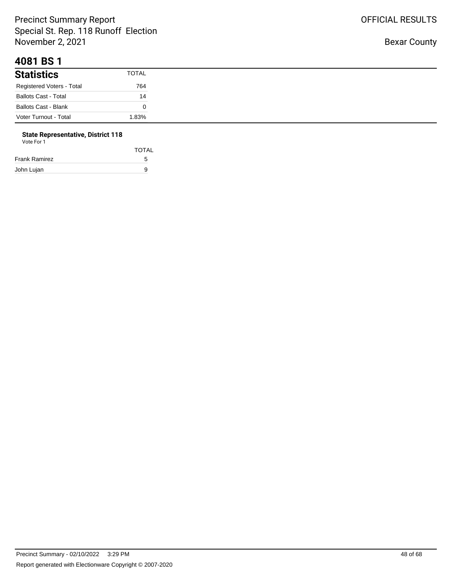#### **4081 BS 1**

| <b>Statistics</b>           | TOTAL    |
|-----------------------------|----------|
| Registered Voters - Total   | 764      |
| <b>Ballots Cast - Total</b> | 14       |
| <b>Ballots Cast - Blank</b> |          |
| Voter Turnout - Total       | $1.83\%$ |

#### **State Representative, District 118**

| Vote For 1 |  |  |
|------------|--|--|
|            |  |  |
|            |  |  |

| Frank Ramirez |  |
|---------------|--|
| John Lujan    |  |

TOTAL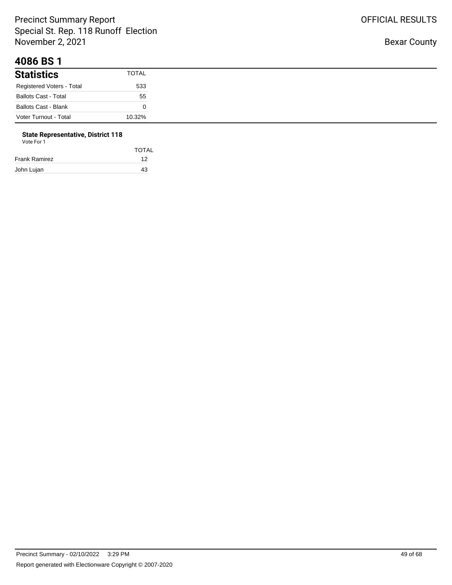#### **4086 BS 1**

| <b>Statistics</b>           | TOTAL  |
|-----------------------------|--------|
| Registered Voters - Total   | 533    |
| <b>Ballots Cast - Total</b> | 55     |
| <b>Ballots Cast - Blank</b> |        |
| Voter Turnout - Total       | 10.32% |

# **State Representative, District 118**

| Vote For 1 |  |
|------------|--|
|            |  |

| <b>TOTAL</b> |
|--------------|
| 12           |
| 43           |
|              |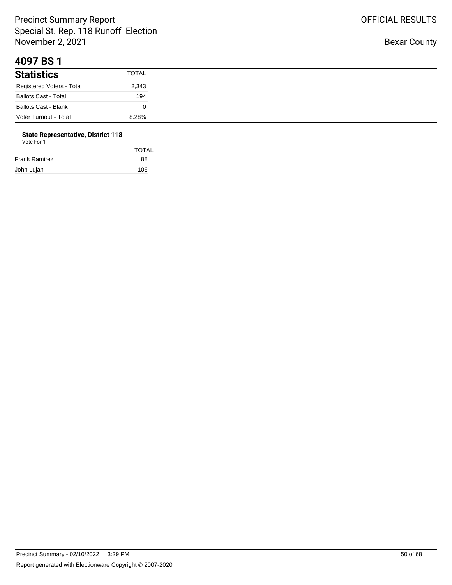#### **4097 BS 1**

| <b>Statistics</b>           | <b>TOTAL</b> |
|-----------------------------|--------------|
| Registered Voters - Total   | 2,343        |
| <b>Ballots Cast - Total</b> | 194          |
| <b>Ballots Cast - Blank</b> |              |
| Voter Turnout - Total       | 8.28%        |

# **State Representative, District 118**

| Vote For 1 |  |
|------------|--|
|            |  |

|               | <b>TOTAL</b> |
|---------------|--------------|
| Frank Ramirez | 88           |
| John Lujan    | 106          |
|               |              |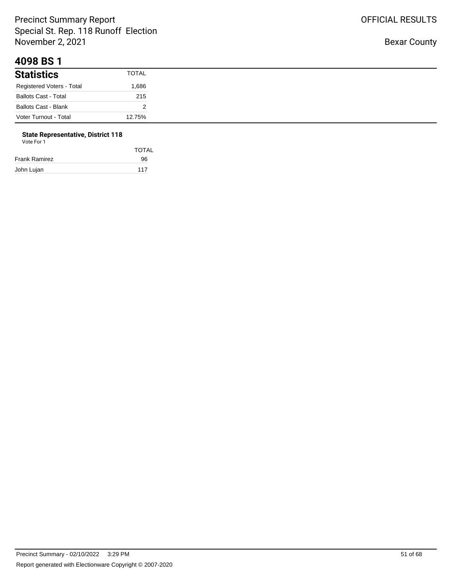#### **4098 BS 1**

| <b>Statistics</b>           | <b>TOTAL</b> |
|-----------------------------|--------------|
| Registered Voters - Total   | .686         |
| <b>Ballots Cast - Total</b> | 215          |
| Ballots Cast - Blank        |              |
| Voter Turnout - Total       | 12.75%       |

# **State Representative, District 118**

|               | <b>TOTAL</b> |
|---------------|--------------|
| Frank Ramirez | 96           |
| John Lujan    | 117          |
|               |              |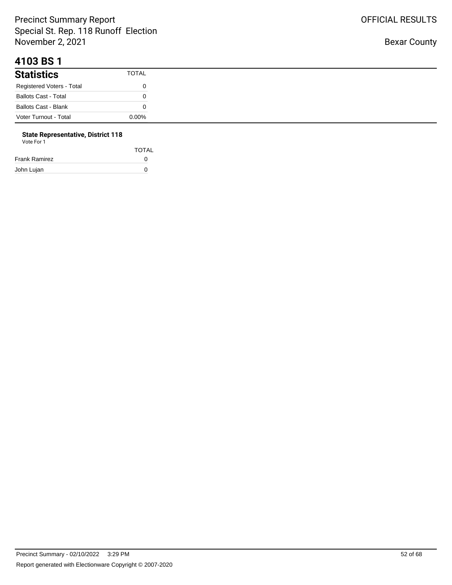#### **4103 BS 1**

| <b>Statistics</b>           | <b>TOTAL</b> |
|-----------------------------|--------------|
| Registered Voters - Total   |              |
| <b>Ballots Cast - Total</b> |              |
| <b>Ballots Cast - Blank</b> |              |
| Voter Turnout - Total       | $0.00\%$     |

# **State Representative, District 118**

| Vote For 1 |  |
|------------|--|
|            |  |

| <b>TOTAL</b> |
|--------------|
| $\Omega$     |
| O            |
|              |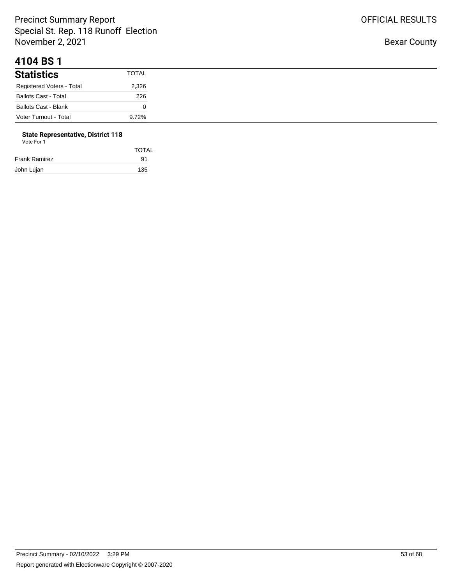#### **4104 BS 1**

| <b>Statistics</b>           | TOTAL |
|-----------------------------|-------|
| Registered Voters - Total   | 2,326 |
| <b>Ballots Cast - Total</b> | 226   |
| Ballots Cast - Blank        |       |
| Voter Turnout - Total       | 9.72% |

#### **State Representative, District 118**

| Vote For 1 |  |  |
|------------|--|--|
|            |  |  |
|            |  |  |

| TOTAL |
|-------|
| 91    |
| 135   |
|       |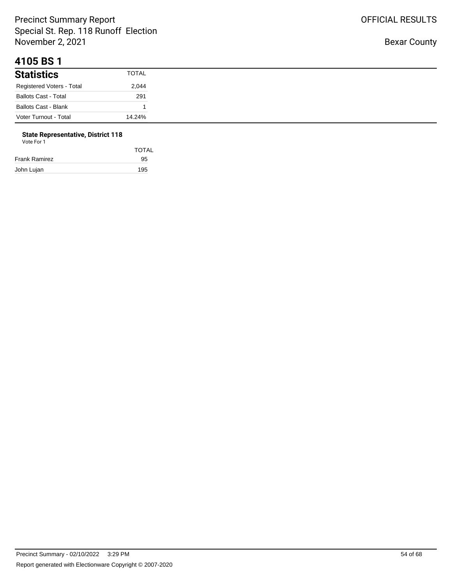#### **4105 BS 1**

| <b>Statistics</b>           | <b>TOTAL</b> |
|-----------------------------|--------------|
| Registered Voters - Total   | 2,044        |
| <b>Ballots Cast - Total</b> | 291          |
| <b>Ballots Cast - Blank</b> |              |
| Voter Turnout - Total       | 14.24%       |

# **State Representative, District 118**

| Vote For 1 |  |
|------------|--|
|------------|--|

|               | <b>TOTAL</b> |
|---------------|--------------|
| Frank Ramirez | 95           |
| John Lujan    | 195          |
|               |              |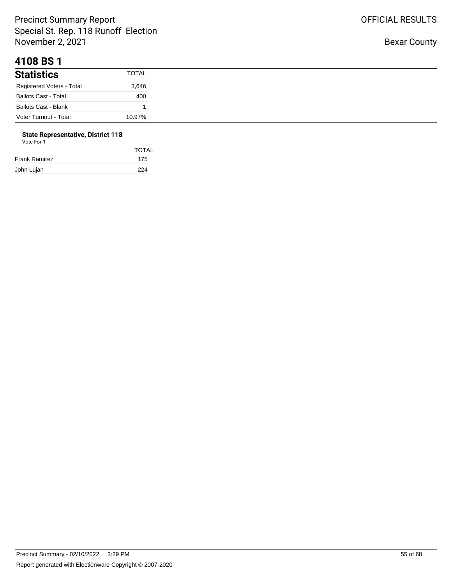#### **4108 BS 1**

| <b>Statistics</b>           | TOTAL  |
|-----------------------------|--------|
| Registered Voters - Total   | 3,646  |
| <b>Ballots Cast - Total</b> | 400    |
| <b>Ballots Cast - Blank</b> |        |
| Voter Turnout - Total       | 10.97% |

# **State Representative, District 118**

|               | <b>TOTAL</b> |
|---------------|--------------|
| Frank Ramirez | 175          |
| John Lujan    | 224          |
|               |              |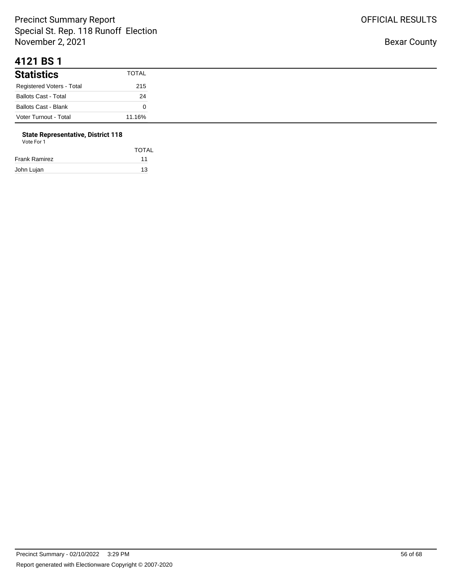#### **4121 BS 1**

| <b>Statistics</b>           | <b>TOTAL</b> |
|-----------------------------|--------------|
| Registered Voters - Total   | 215          |
| <b>Ballots Cast - Total</b> | 24           |
| <b>Ballots Cast - Blank</b> |              |
| Voter Turnout - Total       | 11.16%       |

## **State Representative, District 118**

| Vote For 1 |  |
|------------|--|
|------------|--|

|               | <b>TOTAL</b> |
|---------------|--------------|
| Frank Ramirez | 11           |
| John Lujan    | 13           |
|               |              |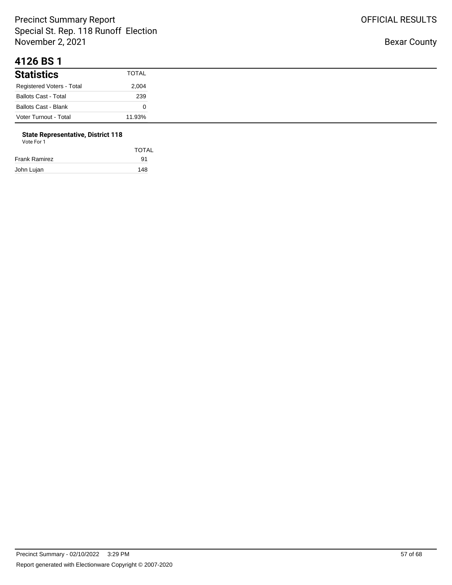#### **4126 BS 1**

| <b>Statistics</b>           | <b>TOTAL</b> |
|-----------------------------|--------------|
| Registered Voters - Total   | 2,004        |
| <b>Ballots Cast - Total</b> | 239          |
| <b>Ballots Cast - Blank</b> |              |
| Voter Turnout - Total       | 11.93%       |

# **State Representative, District 118**

| Vote For 1 |  |  |
|------------|--|--|
|------------|--|--|

|               | <b>TOTAL</b> |
|---------------|--------------|
| Frank Ramirez | 91           |
| John Lujan    | 148          |
|               |              |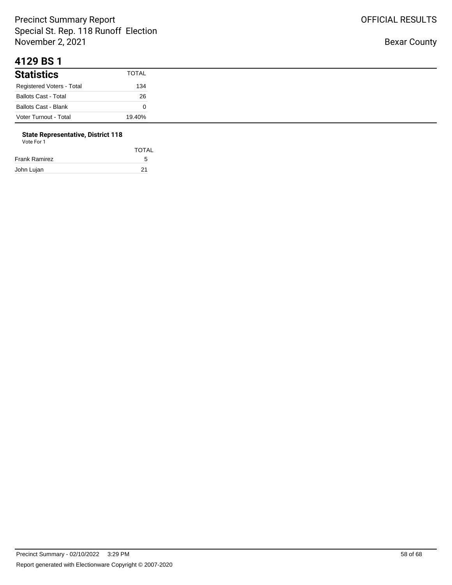#### **4129 BS 1**

| <b>Statistics</b>           | <b>TOTAL</b> |
|-----------------------------|--------------|
| Registered Voters - Total   | 134          |
| <b>Ballots Cast - Total</b> | 26           |
| <b>Ballots Cast - Blank</b> |              |
| Voter Turnout - Total       | 19.40%       |

#### **State Representative, District 118**

| Vote For 1           |              |
|----------------------|--------------|
|                      | <b>TOTAL</b> |
| <b>Frank Ramirez</b> | 5            |
| John Lujan           | 21           |

OFFICIAL RESULTS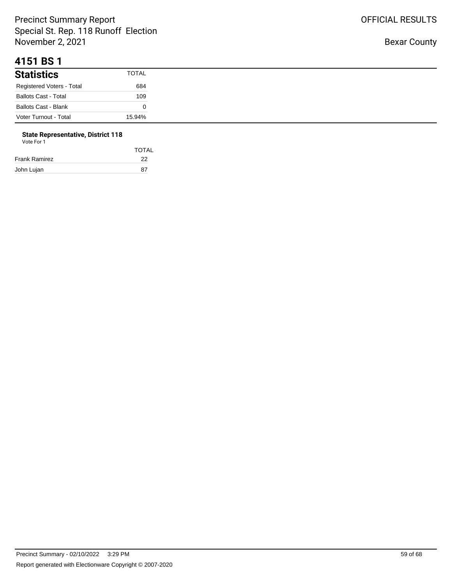#### **4151 BS 1**

| <b>Statistics</b>           | <b>TOTAL</b> |
|-----------------------------|--------------|
| Registered Voters - Total   | 684          |
| <b>Ballots Cast - Total</b> | 109          |
| <b>Ballots Cast - Blank</b> |              |
| Voter Turnout - Total       | 15.94%       |

# **State Representative, District 118**

| Vote For 1 |  |
|------------|--|
|------------|--|

| <b>TOTAL</b> |
|--------------|
| 22           |
| 87           |
|              |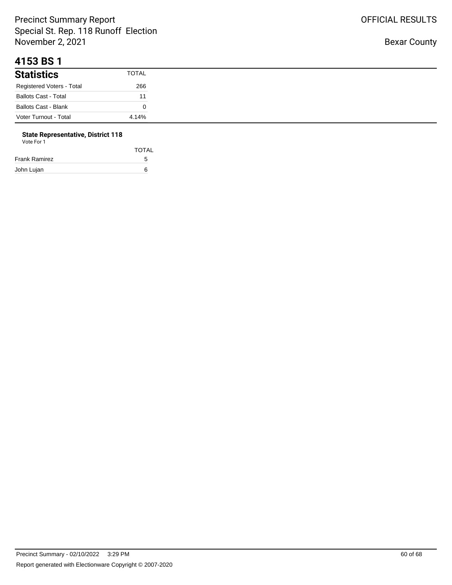#### **4153 BS 1**

| <b>Statistics</b>           | TOTAL |
|-----------------------------|-------|
| Registered Voters - Total   | 266   |
| <b>Ballots Cast - Total</b> | 11    |
| <b>Ballots Cast - Blank</b> |       |
| Voter Turnout - Total       | 4.14% |

## **State Representative, District 118**

| Vote For 1 |  |  |
|------------|--|--|
|            |  |  |

|               | <b>TOTAL</b> |
|---------------|--------------|
| Frank Ramirez | 5            |
| John Lujan    | 6            |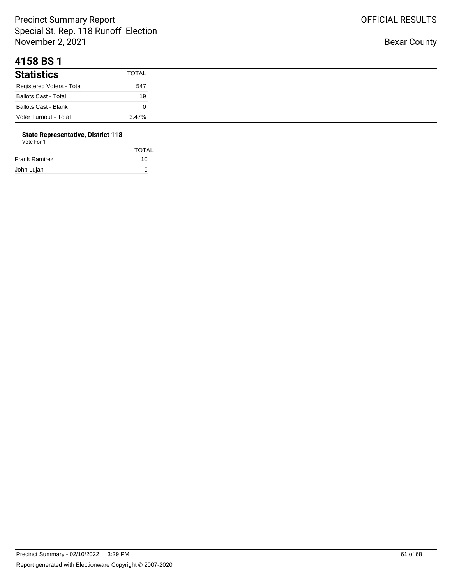#### **4158 BS 1**

| <b>Statistics</b>           | <b>TOTAL</b> |
|-----------------------------|--------------|
| Registered Voters - Total   | 547          |
| <b>Ballots Cast - Total</b> | 19           |
| <b>Ballots Cast - Blank</b> |              |
| Voter Turnout - Total       | 3.47%        |

# **State Representative, District 118**

| Vote For 1 |  |
|------------|--|
|            |  |

|               | <b>TOTAL</b> |
|---------------|--------------|
| Frank Ramirez | 10           |
| John Lujan    | 9            |
|               |              |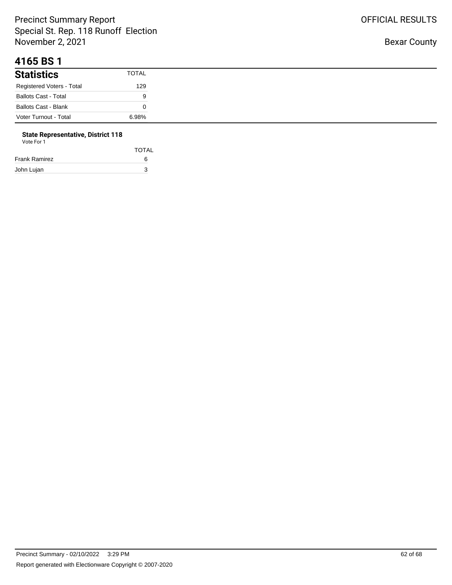#### **4165 BS 1**

| <b>Statistics</b>           | <b>TOTAL</b> |
|-----------------------------|--------------|
| Registered Voters - Total   | 129          |
| <b>Ballots Cast - Total</b> | 9            |
| <b>Ballots Cast - Blank</b> |              |
| Voter Turnout - Total       | 6.98%        |

#### **State Representative, District 118**

| Vote For 1    |       |
|---------------|-------|
|               | TOTAL |
| Frank Ramirez | 6     |
| John Lujan    | 3     |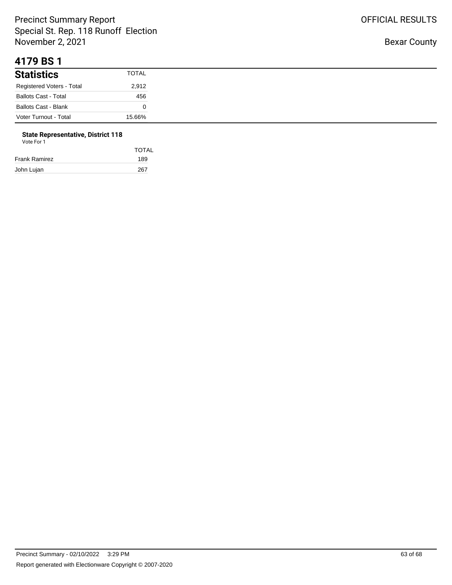#### **4179 BS 1**

| <b>Statistics</b>           | <b>TOTAL</b> |
|-----------------------------|--------------|
| Registered Voters - Total   | 2,912        |
| <b>Ballots Cast - Total</b> | 456          |
| <b>Ballots Cast - Blank</b> |              |
| Voter Turnout - Total       | 15.66%       |

# **State Representative, District 118**

| Vote For 1 |  |  |
|------------|--|--|
|------------|--|--|

|               | <b>TOTAL</b> |
|---------------|--------------|
| Frank Ramirez | 189          |
| John Lujan    | 267          |
|               |              |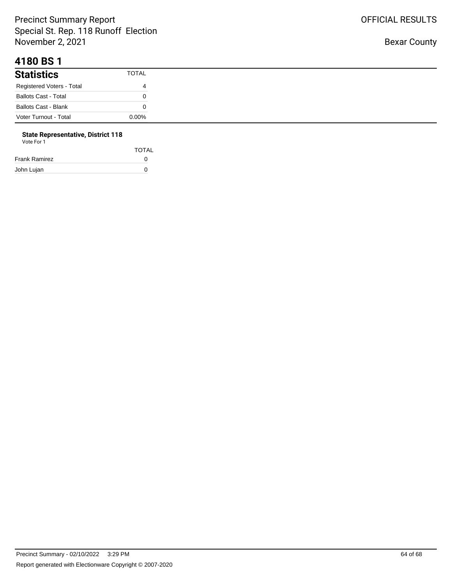#### **4180 BS 1**

| <b>Statistics</b>           | TOTAL    |
|-----------------------------|----------|
| Registered Voters - Total   | 4        |
| <b>Ballots Cast - Total</b> |          |
| Ballots Cast - Blank        |          |
| Voter Turnout - Total       | $0.00\%$ |

# **State Representative, District 118**

| Vote For 1 |  |
|------------|--|
|            |  |

| <b>TOTAL</b> |
|--------------|
| $\Omega$     |
| n            |
|              |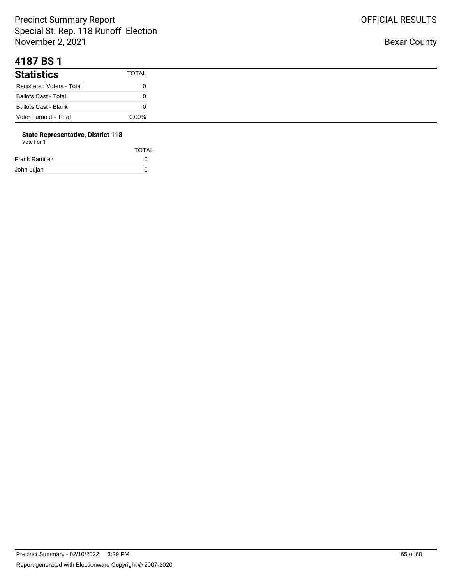#### **4187 BS 1**

| <b>Statistics</b>           | TOTAL    |
|-----------------------------|----------|
| Registered Voters - Total   |          |
| <b>Ballots Cast - Total</b> |          |
| Ballots Cast - Blank        |          |
| Voter Turnout - Total       | $0.00\%$ |

# **State Representative, District 118**

| Vote For 1 |  |  |
|------------|--|--|
|------------|--|--|

| <b>TOTAL</b> |
|--------------|
| $\Omega$     |
| O            |
|              |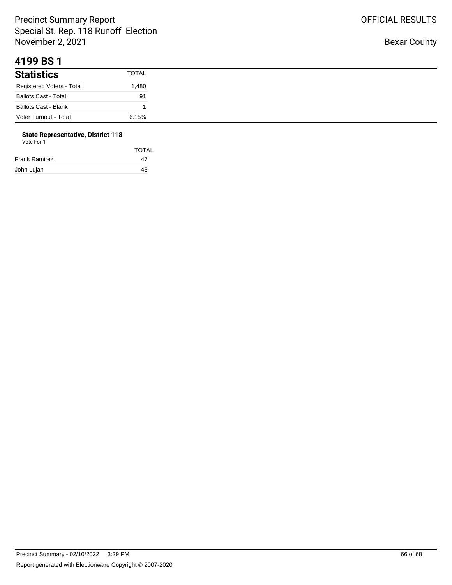#### **4199 BS 1**

| <b>Statistics</b>         | <b>TOTAL</b> |
|---------------------------|--------------|
| Registered Voters - Total | 480. ا       |
| Ballots Cast - Total      | 91           |
| Ballots Cast - Blank      |              |
| Voter Turnout - Total     | 6.15%        |

#### **State Representative, District 118** Vote For 1

| <u>vuurivii</u> |              |
|-----------------|--------------|
|                 | <b>TOTAL</b> |
| Frank Ramirez   | 47           |
|                 |              |

John Lujan 43

OFFICIAL RESULTS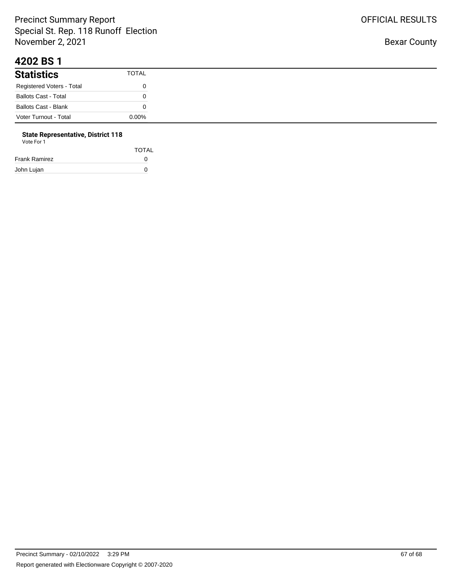#### **4202 BS 1**

| <b>Statistics</b>           | <b>TOTAL</b> |
|-----------------------------|--------------|
| Registered Voters - Total   |              |
| <b>Ballots Cast - Total</b> |              |
| <b>Ballots Cast - Blank</b> |              |
| Voter Turnout - Total       | $0.00\%$     |

# **State Representative, District 118**

| Vote For 1 |  |
|------------|--|
|            |  |

|               | <b>TOTAL</b> |
|---------------|--------------|
| Frank Ramirez | $\mathbf{I}$ |
| John Lujan    | n            |